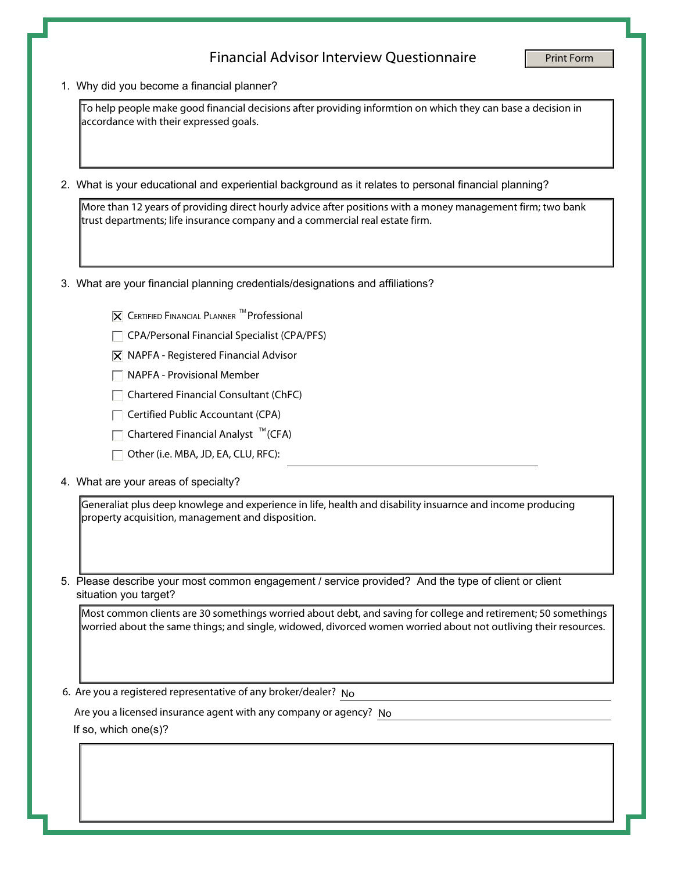## Financial Advisor Interview Questionnaire

1. Why did you become a financial planner?

accordance with their expressed goals.

2. What is your educational and experiential background as it relates to personal financial planning?

To help people make good financial decisions after providing informtion on which they can base a decision in<br>accordance with their expressed goals.<br>
What is your educational and experiential background as it relates to pe More than 12 years of providing direct hourly advice after positions with a money management firm; two bank trust departments; life insurance company and a commercial real estate firm.

- 3. What are your financial planning credentials/designations and affiliations?
	- $|\overline{\mathsf{x}}|$  CERTIFIED FINANCIAL PLANNER <sup>TM</sup> Professional
	- $\Box$  CPA/Personal Financial Specialist (CPA/PFS)
	- $|\overline{\mathsf{X}}|$  NAPFA Registered Financial Advisor
	- $\Box$  NAPFA Provisional Member
	- $\Box$  Chartered Financial Consultant (ChFC)
	- $\Box$  Certified Public Accountant (CPA)
	- Chartered Financial Analyst  $\sqrt[m]{(CFA)}$
	- Other (i.e. MBA, JD, EA, CLU, RFC):
- 4. What are your areas of specialty?

Generaliat plus deep knowlege and experience in life, health and disability insuarnce and income producing

5. Please describe your most common engagement / service provided? And the type of client or client situation you target?

Most common clients are 30 somethings worried about debt, and saving for college and retirement; 50 somethings worried about the same things; and single, widowed, divorced women worried about not outliving their resources.

6. Are you a registered representative of any broker/dealer? No

Are you a licensed insurance agent with any company or agency? No

If so, which one(s)?